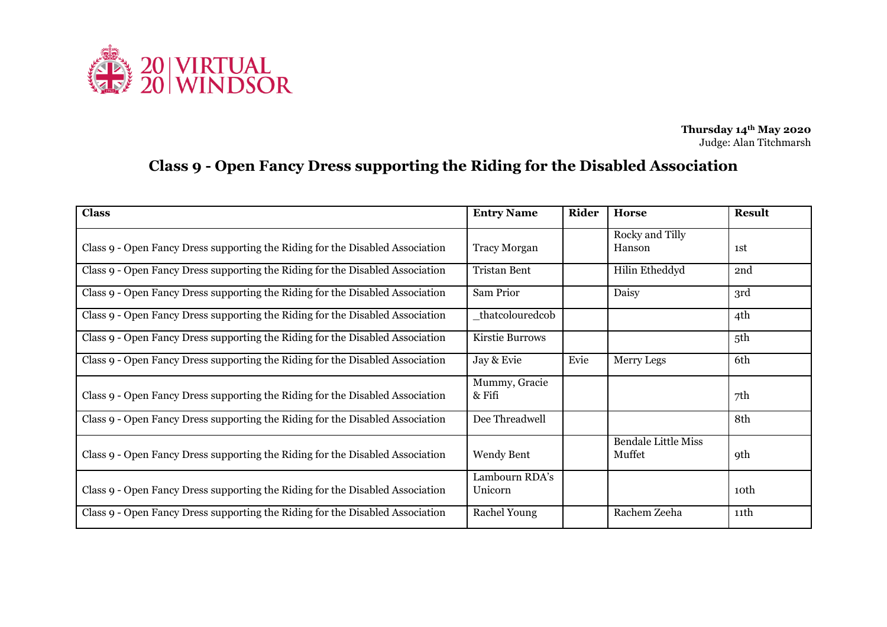

**Thursday 14th May 2020** Judge: Alan Titchmarsh

## **Class 9 - Open Fancy Dress supporting the Riding for the Disabled Association**

| <b>Class</b>                                                                  | <b>Entry Name</b>         | Rider | <b>Horse</b>                         | <b>Result</b>    |
|-------------------------------------------------------------------------------|---------------------------|-------|--------------------------------------|------------------|
| Class 9 - Open Fancy Dress supporting the Riding for the Disabled Association | <b>Tracy Morgan</b>       |       | Rocky and Tilly<br>Hanson            | 1st              |
| Class 9 - Open Fancy Dress supporting the Riding for the Disabled Association | <b>Tristan Bent</b>       |       | Hilin Etheddyd                       | 2nd              |
| Class 9 - Open Fancy Dress supporting the Riding for the Disabled Association | Sam Prior                 |       | Daisy                                | 3rd              |
| Class 9 - Open Fancy Dress supporting the Riding for the Disabled Association | _thatcolouredcob          |       |                                      | 4th              |
| Class 9 - Open Fancy Dress supporting the Riding for the Disabled Association | Kirstie Burrows           |       |                                      | 5th              |
| Class 9 - Open Fancy Dress supporting the Riding for the Disabled Association | Jay & Evie                | Evie  | Merry Legs                           | 6th              |
| Class 9 - Open Fancy Dress supporting the Riding for the Disabled Association | Mummy, Gracie<br>& Fifi   |       |                                      | 7th              |
| Class 9 - Open Fancy Dress supporting the Riding for the Disabled Association | Dee Threadwell            |       |                                      | 8th              |
| Class 9 - Open Fancy Dress supporting the Riding for the Disabled Association | Wendy Bent                |       | <b>Bendale Little Miss</b><br>Muffet | <b>9th</b>       |
| Class 9 - Open Fancy Dress supporting the Riding for the Disabled Association | Lambourn RDA's<br>Unicorn |       |                                      | 10 <sup>th</sup> |
| Class 9 - Open Fancy Dress supporting the Riding for the Disabled Association | <b>Rachel Young</b>       |       | Rachem Zeeha                         | 11th             |